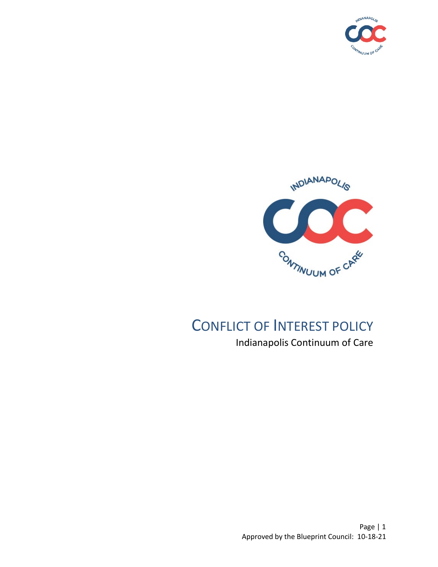



# CONFLICT OF INTEREST POLICY Indianapolis Continuum of Care

Page | 1 Approved by the Blueprint Council: 10-18-21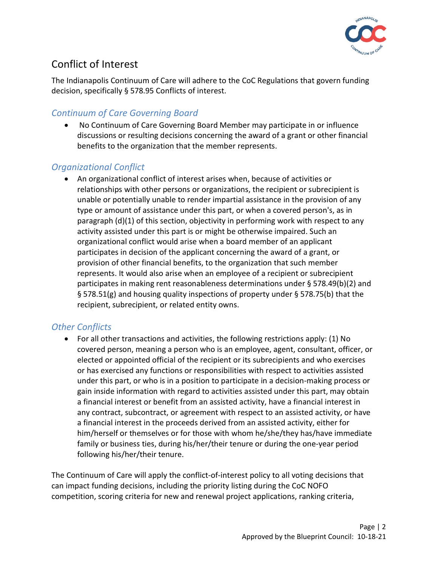

## Conflict of Interest

The Indianapolis Continuum of Care will adhere to the CoC Regulations that govern funding decision, specifically § 578.95 Conflicts of interest.

### *Continuum of Care Governing Board*

• No Continuum of Care Governing Board Member may participate in or influence discussions or resulting decisions concerning the award of a grant or other financial benefits to the organization that the member represents.

#### *Organizational Conflict*

• An organizational conflict of interest arises when, because of activities or relationships with other persons or organizations, the recipient or subrecipient is unable or potentially unable to render impartial assistance in the provision of any type or amount of assistance under this part, or when a covered person's, as in paragraph (d)(1) of this section, objectivity in performing work with respect to any activity assisted under this part is or might be otherwise impaired. Such an organizational conflict would arise when a board member of an applicant participates in decision of the applicant concerning the award of a grant, or provision of other financial benefits, to the organization that such member represents. It would also arise when an employee of a recipient or subrecipient participates in making rent reasonableness determinations under § 578.49(b)(2) and § 578.51(g) and housing quality inspections of property under § 578.75(b) that the recipient, subrecipient, or related entity owns.

#### *Other Conflicts*

• For all other transactions and activities, the following restrictions apply: (1) No covered person, meaning a person who is an employee, agent, consultant, officer, or elected or appointed official of the recipient or its subrecipients and who exercises or has exercised any functions or responsibilities with respect to activities assisted under this part, or who is in a position to participate in a decision-making process or gain inside information with regard to activities assisted under this part, may obtain a financial interest or benefit from an assisted activity, have a financial interest in any contract, subcontract, or agreement with respect to an assisted activity, or have a financial interest in the proceeds derived from an assisted activity, either for him/herself or themselves or for those with whom he/she/they has/have immediate family or business ties, during his/her/their tenure or during the one-year period following his/her/their tenure.

The Continuum of Care will apply the conflict-of-interest policy to all voting decisions that can impact funding decisions, including the priority listing during the CoC NOFO competition, scoring criteria for new and renewal project applications, ranking criteria,